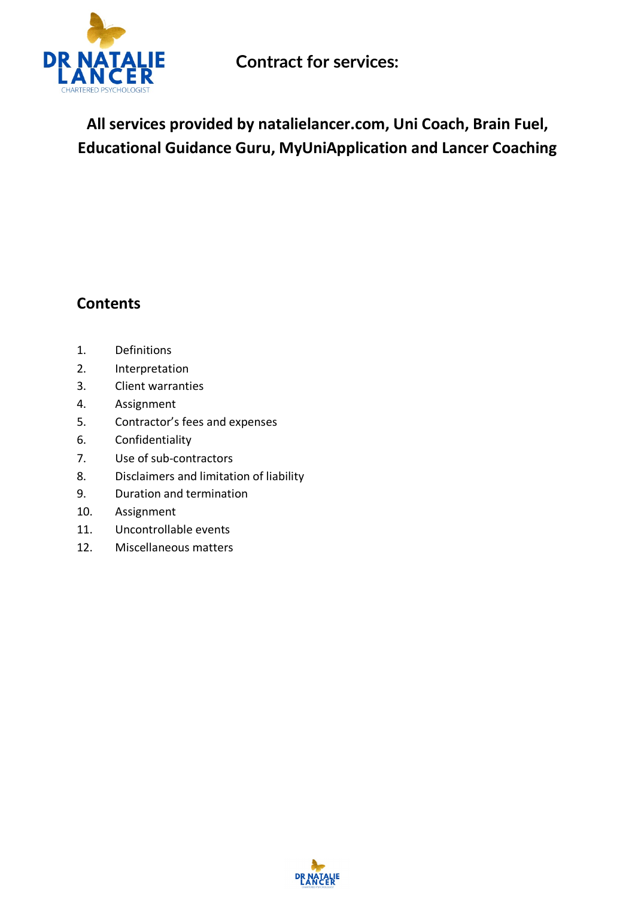

**All services provided by natalielancer.com, Uni Coach, Brain Fuel, Educational Guidance Guru, MyUniApplication and Lancer Coaching**

## **Contents**

- 1. Definitions
- 2. Interpretation
- 3. Client warranties
- 4. Assignment
- 5. Contractor's fees and expenses
- 6. Confidentiality
- 7. Use of sub-contractors
- 8. Disclaimers and limitation of liability
- 9. Duration and termination
- 10. Assignment
- 11. Uncontrollable events
- 12. Miscellaneous matters

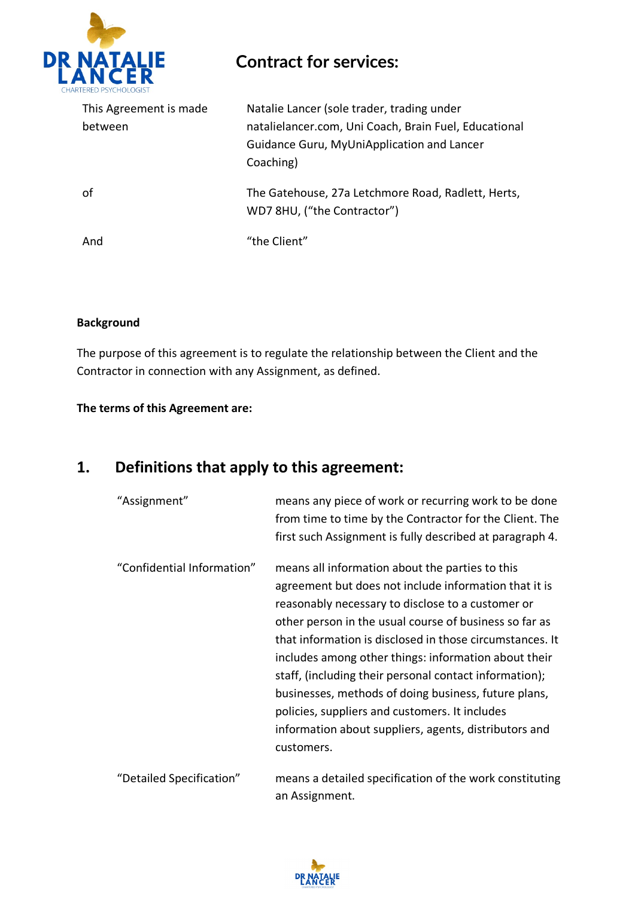

| This Agreement is made<br>between | Natalie Lancer (sole trader, trading under<br>natalielancer.com, Uni Coach, Brain Fuel, Educational<br>Guidance Guru, MyUniApplication and Lancer<br>Coaching) |
|-----------------------------------|----------------------------------------------------------------------------------------------------------------------------------------------------------------|
| οf                                | The Gatehouse, 27a Letchmore Road, Radlett, Herts,<br>WD7 8HU, ("the Contractor")                                                                              |
| And                               | "the Client"                                                                                                                                                   |

#### **Background**

The purpose of this agreement is to regulate the relationship between the Client and the Contractor in connection with any Assignment, as defined.

#### **The terms of this Agreement are:**

### **1. Definitions that apply to this agreement:**

| "Assignment"               | means any piece of work or recurring work to be done<br>from time to time by the Contractor for the Client. The<br>first such Assignment is fully described at paragraph 4.                                                                                                                                                                                                                                                                                                                                                                                                            |
|----------------------------|----------------------------------------------------------------------------------------------------------------------------------------------------------------------------------------------------------------------------------------------------------------------------------------------------------------------------------------------------------------------------------------------------------------------------------------------------------------------------------------------------------------------------------------------------------------------------------------|
| "Confidential Information" | means all information about the parties to this<br>agreement but does not include information that it is<br>reasonably necessary to disclose to a customer or<br>other person in the usual course of business so far as<br>that information is disclosed in those circumstances. It<br>includes among other things: information about their<br>staff, (including their personal contact information);<br>businesses, methods of doing business, future plans,<br>policies, suppliers and customers. It includes<br>information about suppliers, agents, distributors and<br>customers. |
| "Detailed Specification"   | means a detailed specification of the work constituting<br>an Assignment.                                                                                                                                                                                                                                                                                                                                                                                                                                                                                                              |

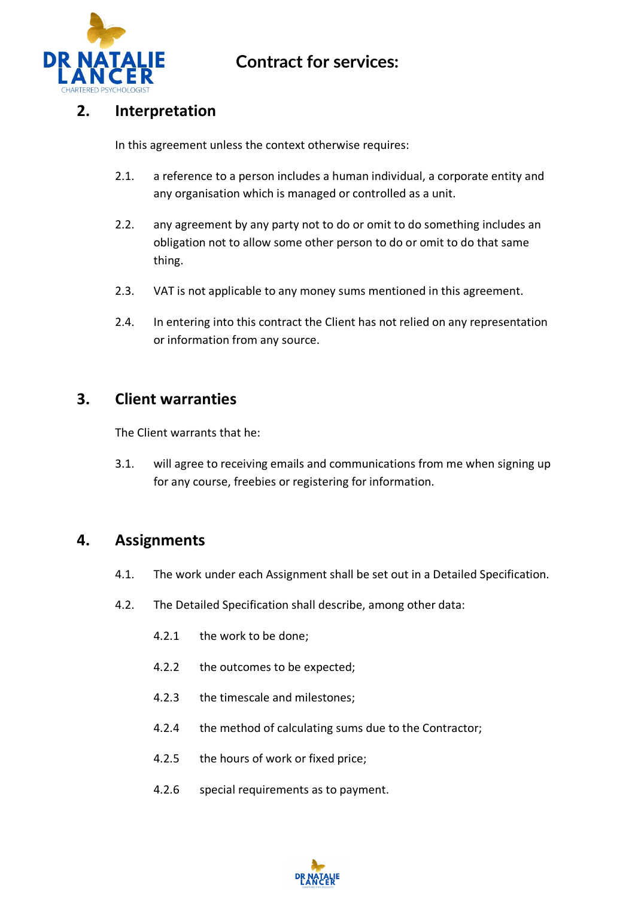

#### **2. Interpretation**

In this agreement unless the context otherwise requires:

- 2.1. a reference to a person includes a human individual, a corporate entity and any organisation which is managed or controlled as a unit.
- 2.2. any agreement by any party not to do or omit to do something includes an obligation not to allow some other person to do or omit to do that same thing.
- 2.3. VAT is not applicable to any money sums mentioned in this agreement.
- 2.4. In entering into this contract the Client has not relied on any representation or information from any source.

#### **3. Client warranties**

The Client warrants that he:

3.1. will agree to receiving emails and communications from me when signing up for any course, freebies or registering for information.

#### **4. Assignments**

- 4.1. The work under each Assignment shall be set out in a Detailed Specification.
- 4.2. The Detailed Specification shall describe, among other data:
	- 4.2.1 the work to be done;
	- 4.2.2 the outcomes to be expected;
	- 4.2.3 the timescale and milestones;
	- 4.2.4 the method of calculating sums due to the Contractor;
	- 4.2.5 the hours of work or fixed price;
	- 4.2.6 special requirements as to payment.

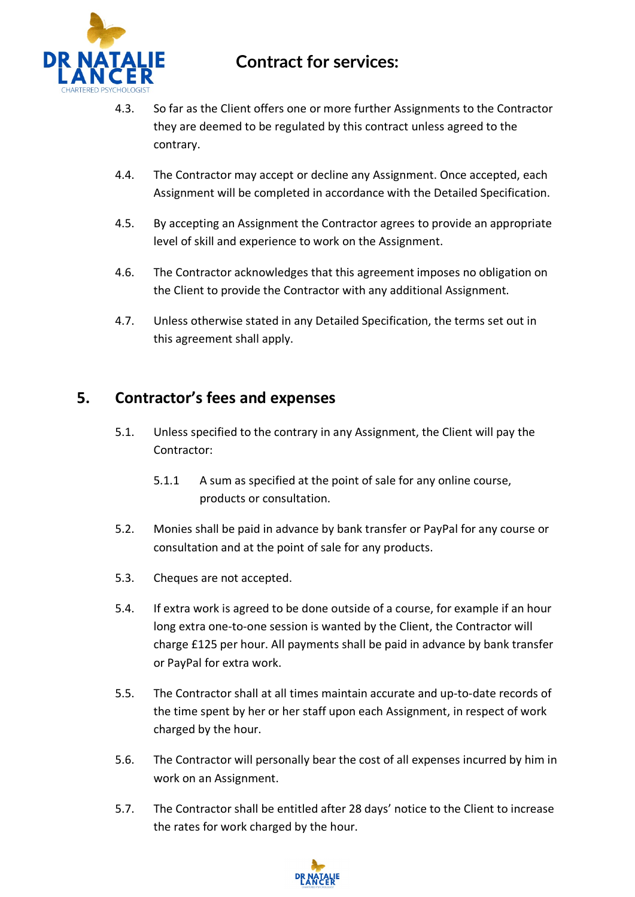

- 4.3. So far as the Client offers one or more further Assignments to the Contractor they are deemed to be regulated by this contract unless agreed to the contrary.
- 4.4. The Contractor may accept or decline any Assignment. Once accepted, each Assignment will be completed in accordance with the Detailed Specification.
- 4.5. By accepting an Assignment the Contractor agrees to provide an appropriate level of skill and experience to work on the Assignment.
- 4.6. The Contractor acknowledges that this agreement imposes no obligation on the Client to provide the Contractor with any additional Assignment.
- 4.7. Unless otherwise stated in any Detailed Specification, the terms set out in this agreement shall apply.

#### **5. Contractor's fees and expenses**

- 5.1. Unless specified to the contrary in any Assignment, the Client will pay the Contractor:
	- 5.1.1 A sum as specified at the point of sale for any online course, products or consultation.
- 5.2. Monies shall be paid in advance by bank transfer or PayPal for any course or consultation and at the point of sale for any products.
- 5.3. Cheques are not accepted.
- 5.4. If extra work is agreed to be done outside of a course, for example if an hour long extra one-to-one session is wanted by the Client, the Contractor will charge £125 per hour. All payments shall be paid in advance by bank transfer or PayPal for extra work.
- 5.5. The Contractor shall at all times maintain accurate and up-to-date records of the time spent by her or her staff upon each Assignment, in respect of work charged by the hour.
- 5.6. The Contractor will personally bear the cost of all expenses incurred by him in work on an Assignment.
- 5.7. The Contractor shall be entitled after 28 days' notice to the Client to increase the rates for work charged by the hour.

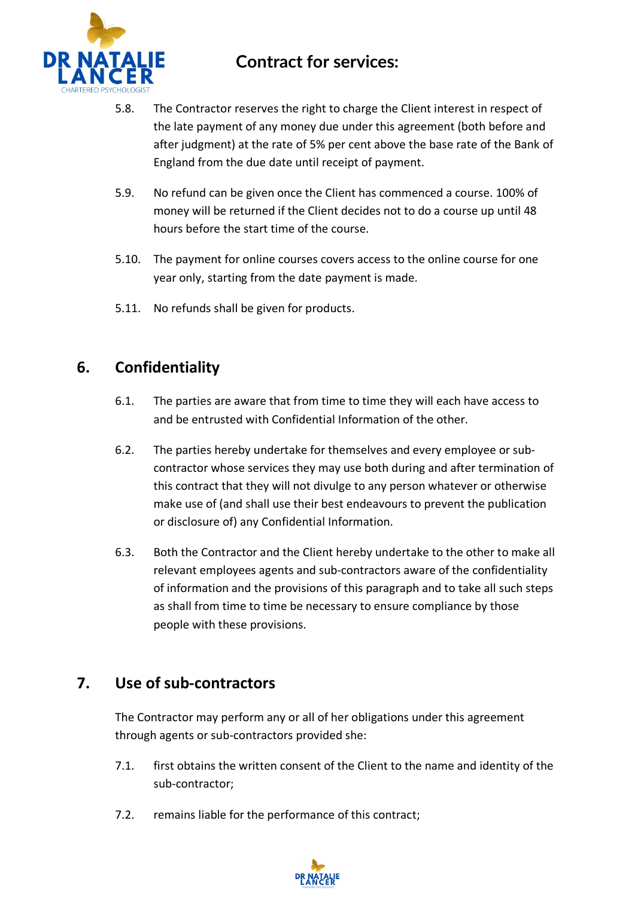

- 5.8. The Contractor reserves the right to charge the Client interest in respect of the late payment of any money due under this agreement (both before and after judgment) at the rate of 5% per cent above the base rate of the Bank of England from the due date until receipt of payment.
- 5.9. No refund can be given once the Client has commenced a course. 100% of money will be returned if the Client decides not to do a course up until 48 hours before the start time of the course.
- 5.10. The payment for online courses covers access to the online course for one year only, starting from the date payment is made.
- 5.11. No refunds shall be given for products.

#### **6. Confidentiality**

- 6.1. The parties are aware that from time to time they will each have access to and be entrusted with Confidential Information of the other.
- 6.2. The parties hereby undertake for themselves and every employee or subcontractor whose services they may use both during and after termination of this contract that they will not divulge to any person whatever or otherwise make use of (and shall use their best endeavours to prevent the publication or disclosure of) any Confidential Information.
- 6.3. Both the Contractor and the Client hereby undertake to the other to make all relevant employees agents and sub-contractors aware of the confidentiality of information and the provisions of this paragraph and to take all such steps as shall from time to time be necessary to ensure compliance by those people with these provisions.

#### **7. Use of sub-contractors**

The Contractor may perform any or all of her obligations under this agreement through agents or sub-contractors provided she:

- 7.1. first obtains the written consent of the Client to the name and identity of the sub-contractor;
- 7.2. remains liable for the performance of this contract;

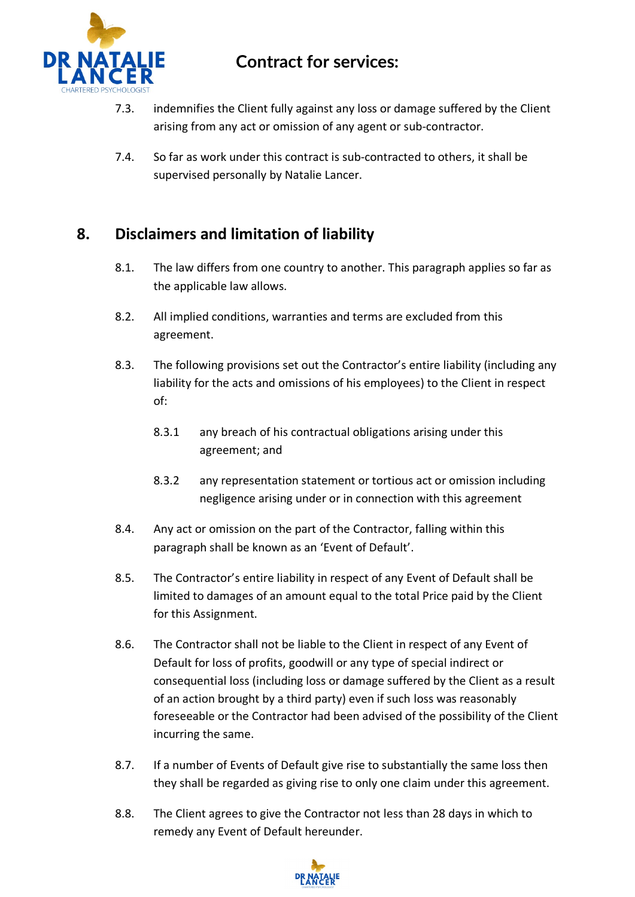

- 7.3. indemnifies the Client fully against any loss or damage suffered by the Client arising from any act or omission of any agent or sub-contractor.
- 7.4. So far as work under this contract is sub-contracted to others, it shall be supervised personally by Natalie Lancer.

#### **8. Disclaimers and limitation of liability**

- 8.1. The law differs from one country to another. This paragraph applies so far as the applicable law allows.
- 8.2. All implied conditions, warranties and terms are excluded from this agreement.
- 8.3. The following provisions set out the Contractor's entire liability (including any liability for the acts and omissions of his employees) to the Client in respect of:
	- 8.3.1 any breach of his contractual obligations arising under this agreement; and
	- 8.3.2 any representation statement or tortious act or omission including negligence arising under or in connection with this agreement
- 8.4. Any act or omission on the part of the Contractor, falling within this paragraph shall be known as an 'Event of Default'.
- 8.5. The Contractor's entire liability in respect of any Event of Default shall be limited to damages of an amount equal to the total Price paid by the Client for this Assignment.
- 8.6. The Contractor shall not be liable to the Client in respect of any Event of Default for loss of profits, goodwill or any type of special indirect or consequential loss (including loss or damage suffered by the Client as a result of an action brought by a third party) even if such loss was reasonably foreseeable or the Contractor had been advised of the possibility of the Client incurring the same.
- 8.7. If a number of Events of Default give rise to substantially the same loss then they shall be regarded as giving rise to only one claim under this agreement.
- 8.8. The Client agrees to give the Contractor not less than 28 days in which to remedy any Event of Default hereunder.

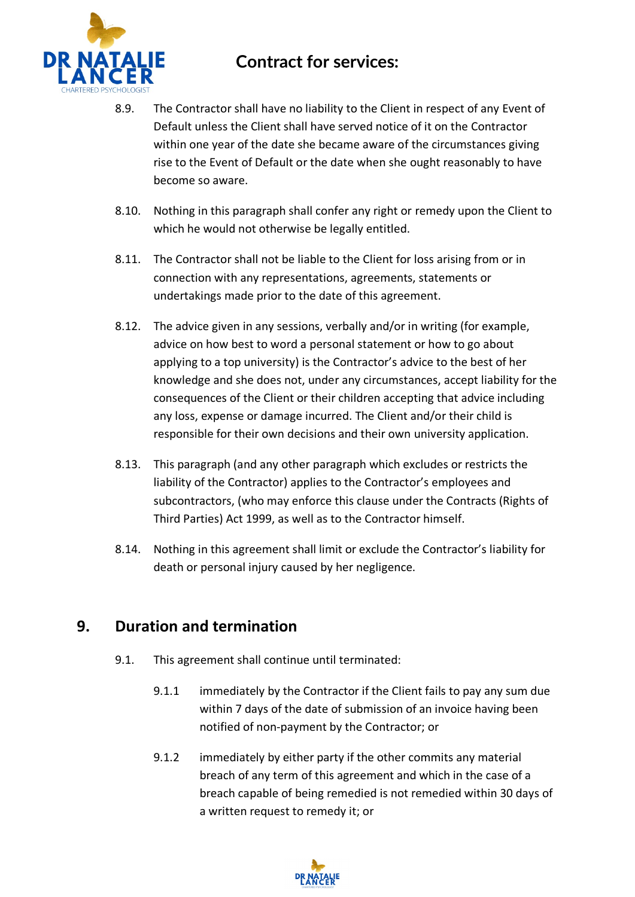

- 8.9. The Contractor shall have no liability to the Client in respect of any Event of Default unless the Client shall have served notice of it on the Contractor within one year of the date she became aware of the circumstances giving rise to the Event of Default or the date when she ought reasonably to have become so aware.
- 8.10. Nothing in this paragraph shall confer any right or remedy upon the Client to which he would not otherwise be legally entitled.
- 8.11. The Contractor shall not be liable to the Client for loss arising from or in connection with any representations, agreements, statements or undertakings made prior to the date of this agreement.
- 8.12. The advice given in any sessions, verbally and/or in writing (for example, advice on how best to word a personal statement or how to go about applying to a top university) is the Contractor's advice to the best of her knowledge and she does not, under any circumstances, accept liability for the consequences of the Client or their children accepting that advice including any loss, expense or damage incurred. The Client and/or their child is responsible for their own decisions and their own university application.
- 8.13. This paragraph (and any other paragraph which excludes or restricts the liability of the Contractor) applies to the Contractor's employees and subcontractors, (who may enforce this clause under the Contracts (Rights of Third Parties) Act 1999, as well as to the Contractor himself.
- 8.14. Nothing in this agreement shall limit or exclude the Contractor's liability for death or personal injury caused by her negligence.

#### **9. Duration and termination**

- 9.1. This agreement shall continue until terminated:
	- 9.1.1 immediately by the Contractor if the Client fails to pay any sum due within 7 days of the date of submission of an invoice having been notified of non-payment by the Contractor; or
	- 9.1.2 immediately by either party if the other commits any material breach of any term of this agreement and which in the case of a breach capable of being remedied is not remedied within 30 days of a written request to remedy it; or

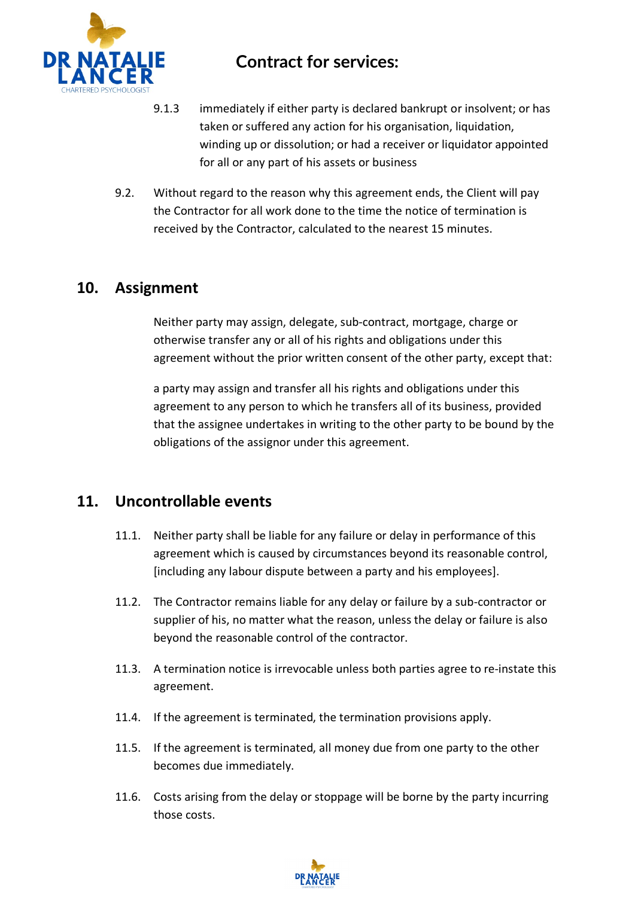

- 9.1.3 immediately if either party is declared bankrupt or insolvent; or has taken or suffered any action for his organisation, liquidation, winding up or dissolution; or had a receiver or liquidator appointed for all or any part of his assets or business
- 9.2. Without regard to the reason why this agreement ends, the Client will pay the Contractor for all work done to the time the notice of termination is received by the Contractor, calculated to the nearest 15 minutes.

#### **10. Assignment**

Neither party may assign, delegate, sub-contract, mortgage, charge or otherwise transfer any or all of his rights and obligations under this agreement without the prior written consent of the other party, except that:

a party may assign and transfer all his rights and obligations under this agreement to any person to which he transfers all of its business, provided that the assignee undertakes in writing to the other party to be bound by the obligations of the assignor under this agreement.

#### **11. Uncontrollable events**

- 11.1. Neither party shall be liable for any failure or delay in performance of this agreement which is caused by circumstances beyond its reasonable control, [including any labour dispute between a party and his employees].
- 11.2. The Contractor remains liable for any delay or failure by a sub-contractor or supplier of his, no matter what the reason, unless the delay or failure is also beyond the reasonable control of the contractor.
- 11.3. A termination notice is irrevocable unless both parties agree to re-instate this agreement.
- 11.4. If the agreement is terminated, the termination provisions apply.
- 11.5. If the agreement is terminated, all money due from one party to the other becomes due immediately.
- 11.6. Costs arising from the delay or stoppage will be borne by the party incurring those costs.

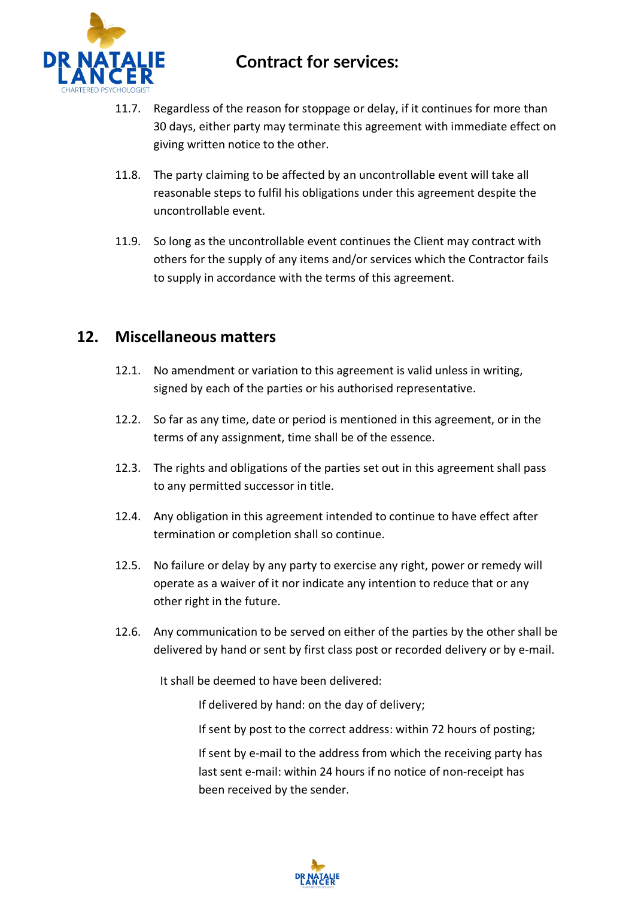

- 11.7. Regardless of the reason for stoppage or delay, if it continues for more than 30 days, either party may terminate this agreement with immediate effect on giving written notice to the other.
- 11.8. The party claiming to be affected by an uncontrollable event will take all reasonable steps to fulfil his obligations under this agreement despite the uncontrollable event.
- 11.9. So long as the uncontrollable event continues the Client may contract with others for the supply of any items and/or services which the Contractor fails to supply in accordance with the terms of this agreement.

#### **12. Miscellaneous matters**

- 12.1. No amendment or variation to this agreement is valid unless in writing, signed by each of the parties or his authorised representative.
- 12.2. So far as any time, date or period is mentioned in this agreement, or in the terms of any assignment, time shall be of the essence.
- 12.3. The rights and obligations of the parties set out in this agreement shall pass to any permitted successor in title.
- 12.4. Any obligation in this agreement intended to continue to have effect after termination or completion shall so continue.
- 12.5. No failure or delay by any party to exercise any right, power or remedy will operate as a waiver of it nor indicate any intention to reduce that or any other right in the future.
- 12.6. Any communication to be served on either of the parties by the other shall be delivered by hand or sent by first class post or recorded delivery or by e-mail.

It shall be deemed to have been delivered:

If delivered by hand: on the day of delivery;

If sent by post to the correct address: within 72 hours of posting;

If sent by e-mail to the address from which the receiving party has last sent e-mail: within 24 hours if no notice of non-receipt has been received by the sender.

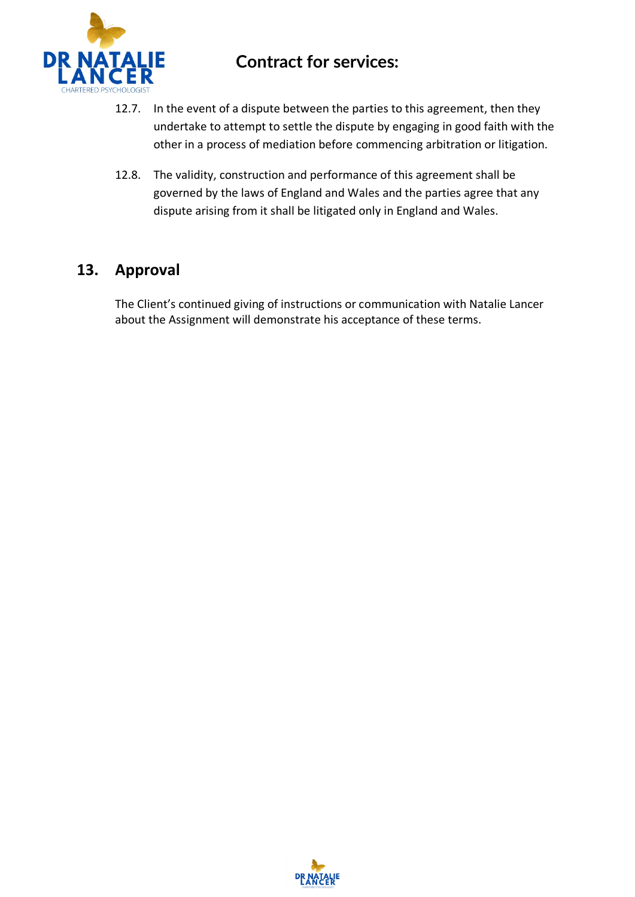

- 12.7. In the event of a dispute between the parties to this agreement, then they undertake to attempt to settle the dispute by engaging in good faith with the other in a process of mediation before commencing arbitration or litigation.
- 12.8. The validity, construction and performance of this agreement shall be governed by the laws of England and Wales and the parties agree that any dispute arising from it shall be litigated only in England and Wales.

#### **13. Approval**

The Client's continued giving of instructions or communication with Natalie Lancer about the Assignment will demonstrate his acceptance of these terms.

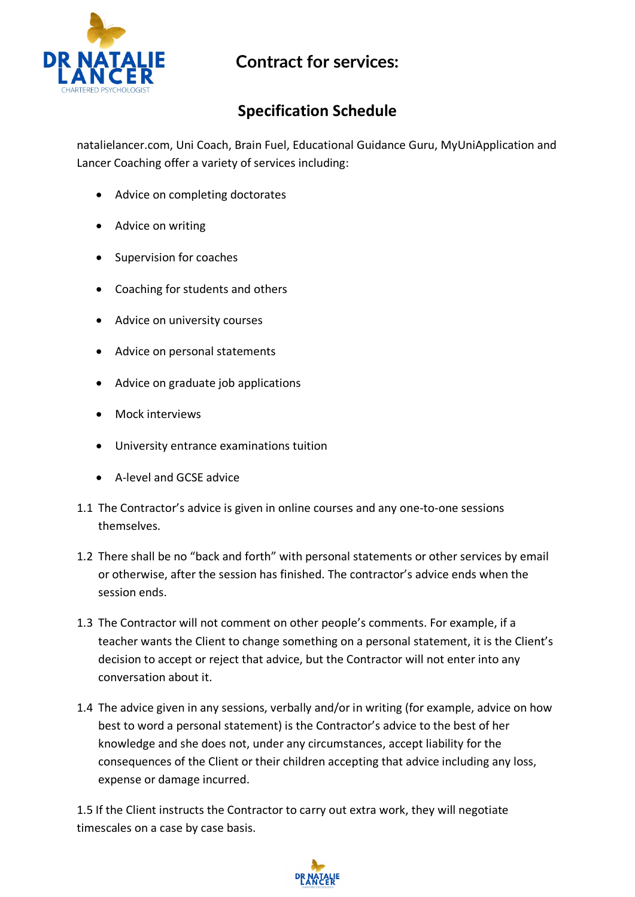

# **Specification Schedule**

natalielancer.com, Uni Coach, Brain Fuel, Educational Guidance Guru, MyUniApplication and Lancer Coaching offer a variety of services including:

- Advice on completing doctorates
- Advice on writing
- Supervision for coaches
- Coaching for students and others
- Advice on university courses
- Advice on personal statements
- Advice on graduate job applications
- Mock interviews
- University entrance examinations tuition
- A-level and GCSE advice
- 1.1 The Contractor's advice is given in online courses and any one-to-one sessions themselves.
- 1.2 There shall be no "back and forth" with personal statements or other services by email or otherwise, after the session has finished. The contractor's advice ends when the session ends.
- 1.3 The Contractor will not comment on other people's comments. For example, if a teacher wants the Client to change something on a personal statement, it is the Client's decision to accept or reject that advice, but the Contractor will not enter into any conversation about it.
- 1.4 The advice given in any sessions, verbally and/or in writing (for example, advice on how best to word a personal statement) is the Contractor's advice to the best of her knowledge and she does not, under any circumstances, accept liability for the consequences of the Client or their children accepting that advice including any loss, expense or damage incurred.

1.5 If the Client instructs the Contractor to carry out extra work, they will negotiate timescales on a case by case basis.